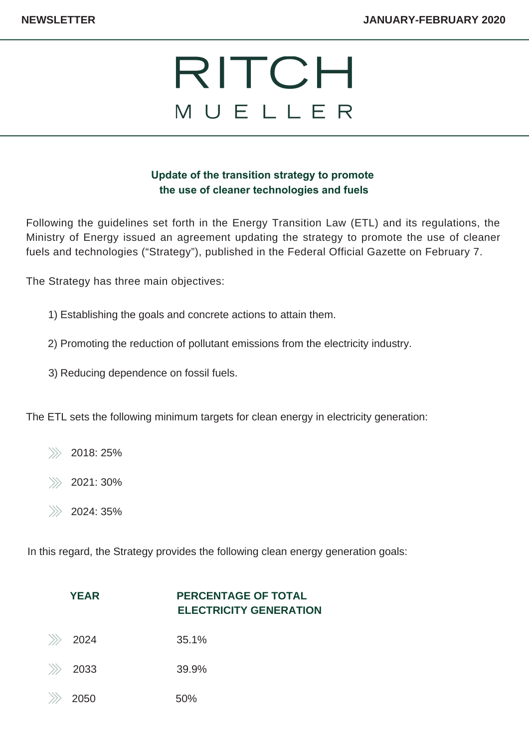## RITCH MUELLER

## **Update of the transition strategy to promote the use of cleaner technologies and fuels**

Following the guidelines set forth in the Energy Transition Law (ETL) and its regulations, the Ministry of Energy issued an agreement updating the strategy to promote the use of cleaner fuels and technologies ("Strategy"), published in the Federal Official Gazette on February 7.

The Strategy has three main objectives:

- Establishing the goals and concrete actions to attain them. 1)
- 2) Promoting the reduction of pollutant emissions from the electricity industry.
- 3) Reducing dependence on fossil fuels.

The ETL sets the following minimum targets for clean energy in electricity generation:

- 2018: 25%
- 2021: 30%
- 2024: 35%

In this regard, the Strategy provides the following clean energy generation goals:

|       | <b>YEAR</b> | <b>PERCENTAGE OF TOTAL</b><br><b>ELECTRICITY GENERATION</b> |
|-------|-------------|-------------------------------------------------------------|
| $\gg$ | 2024        | 35.1%                                                       |
| $\gg$ | 2033        | 39.9%                                                       |
| D     | 2050        | 50%                                                         |